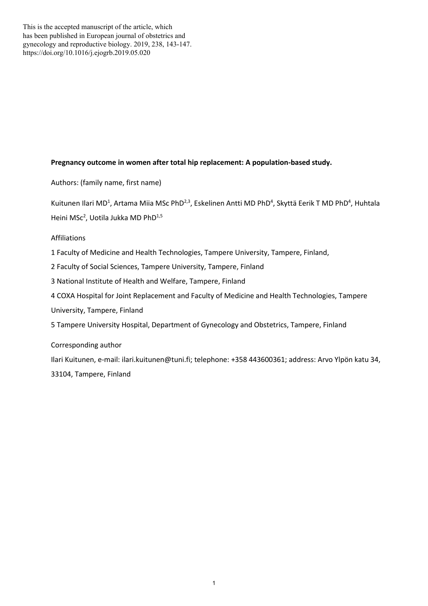This is the accepted manuscript of the article, which has been published in European journal of obstetrics and gynecology and reproductive biology. 2019, 238, 143-147. https://doi.org/10.1016/j.ejogrb.2019.05.020

## **Pregnancy outcome in women after total hip replacement: A population-based study.**

Authors: (family name, first name)

Kuitunen Ilari MD<sup>1</sup>, Artama Miia MSc PhD<sup>2,3</sup>, Eskelinen Antti MD PhD<sup>4</sup>, Skyttä Eerik T MD PhD<sup>4</sup>, Huhtala Heini MSc<sup>2</sup>, Uotila Jukka MD PhD<sup>1,5</sup>

Affiliations

1 Faculty of Medicine and Health Technologies, Tampere University, Tampere, Finland,

2 Faculty of Social Sciences, Tampere University, Tampere, Finland

3 National Institute of Health and Welfare, Tampere, Finland

4 COXA Hospital for Joint Replacement and Faculty of Medicine and Health Technologies, Tampere

University, Tampere, Finland

5 Tampere University Hospital, Department of Gynecology and Obstetrics, Tampere, Finland

Corresponding author

Ilari Kuitunen, e-mail: ilari.kuitunen@tuni.fi; telephone: +358 443600361; address: Arvo Ylpön katu 34, 33104, Tampere, Finland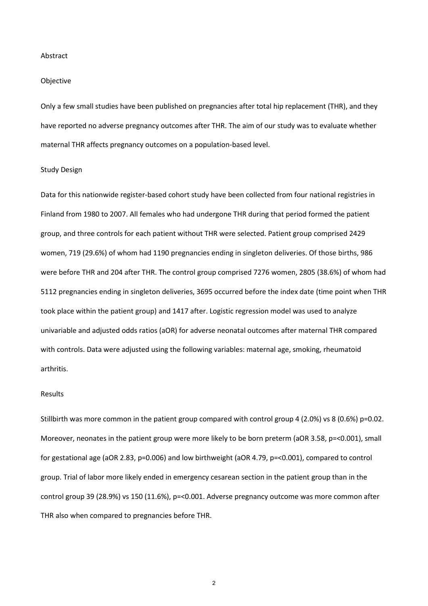#### Abstract

### Objective

Only a few small studies have been published on pregnancies after total hip replacement (THR), and they have reported no adverse pregnancy outcomes after THR. The aim of our study was to evaluate whether maternal THR affects pregnancy outcomes on a population-based level.

#### Study Design

Data for this nationwide register-based cohort study have been collected from four national registries in Finland from 1980 to 2007. All females who had undergone THR during that period formed the patient group, and three controls for each patient without THR were selected. Patient group comprised 2429 women, 719 (29.6%) of whom had 1190 pregnancies ending in singleton deliveries. Of those births, 986 were before THR and 204 after THR. The control group comprised 7276 women, 2805 (38.6%) of whom had 5112 pregnancies ending in singleton deliveries, 3695 occurred before the index date (time point when THR took place within the patient group) and 1417 after. Logistic regression model was used to analyze univariable and adjusted odds ratios (aOR) for adverse neonatal outcomes after maternal THR compared with controls. Data were adjusted using the following variables: maternal age, smoking, rheumatoid arthritis.

## Results

Stillbirth was more common in the patient group compared with control group 4 (2.0%) vs 8 (0.6%) p=0.02. Moreover, neonates in the patient group were more likely to be born preterm (aOR 3.58, p=<0.001), small for gestational age (aOR 2.83, p=0.006) and low birthweight (aOR 4.79, p=<0.001), compared to control group. Trial of labor more likely ended in emergency cesarean section in the patient group than in the control group 39 (28.9%) vs 150 (11.6%), p=<0.001. Adverse pregnancy outcome was more common after THR also when compared to pregnancies before THR.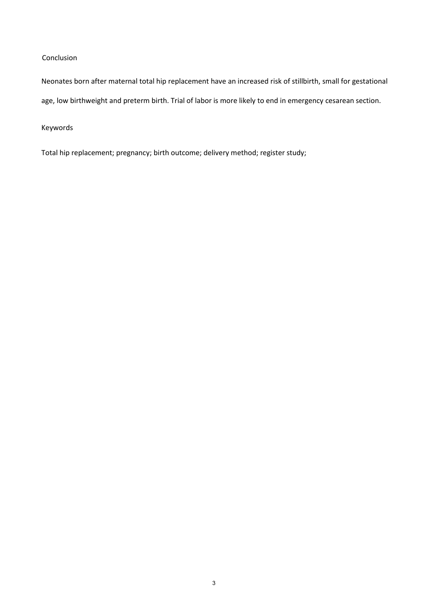# Conclusion

Neonates born after maternal total hip replacement have an increased risk of stillbirth, small for gestational age, low birthweight and preterm birth. Trial of labor is more likely to end in emergency cesarean section.

Keywords

Total hip replacement; pregnancy; birth outcome; delivery method; register study;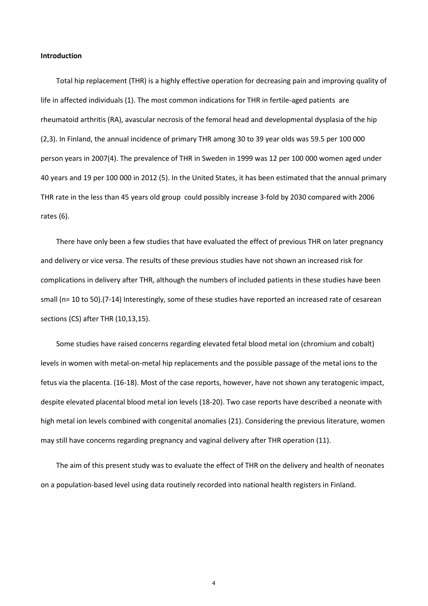## **Introduction**

Total hip replacement (THR) is a highly effective operation for decreasing pain and improving quality of life in affected individuals (1). The most common indications for THR in fertile-aged patients are rheumatoid arthritis (RA), avascular necrosis of the femoral head and developmental dysplasia of the hip (2,3). In Finland, the annual incidence of primary THR among 30 to 39 year olds was 59.5 per 100 000 person years in 2007(4). The prevalence of THR in Sweden in 1999 was 12 per 100 000 women aged under 40 years and 19 per 100 000 in 2012 (5). In the United States, it has been estimated that the annual primary THR rate in the less than 45 years old group could possibly increase 3-fold by 2030 compared with 2006 rates (6).

There have only been a few studies that have evaluated the effect of previous THR on later pregnancy and delivery or vice versa. The results of these previous studies have not shown an increased risk for complications in delivery after THR, although the numbers of included patients in these studies have been small (n= 10 to 50).(7-14) Interestingly, some of these studies have reported an increased rate of cesarean sections (CS) after THR (10,13,15).

Some studies have raised concerns regarding elevated fetal blood metal ion (chromium and cobalt) levels in women with metal-on-metal hip replacements and the possible passage of the metal ions to the fetus via the placenta. (16-18). Most of the case reports, however, have not shown any teratogenic impact, despite elevated placental blood metal ion levels (18-20). Two case reports have described a neonate with high metal ion levels combined with congenital anomalies (21). Considering the previous literature, women may still have concerns regarding pregnancy and vaginal delivery after THR operation (11).

The aim of this present study was to evaluate the effect of THR on the delivery and health of neonates on a population-based level using data routinely recorded into national health registers in Finland.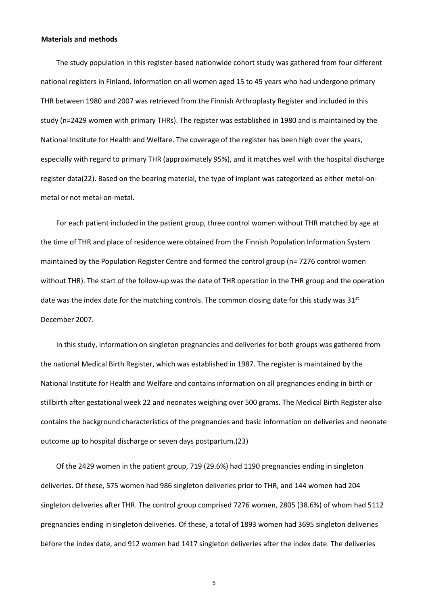### **Materials and methods**

The study population in this register-based nationwide cohort study was gathered from four different national registers in Finland. Information on all women aged 15 to 45 years who had undergone primary THR between 1980 and 2007 was retrieved from the Finnish Arthroplasty Register and included in this study (n=2429 women with primary THRs). The register was established in 1980 and is maintained by the National Institute for Health and Welfare. The coverage of the register has been high over the years, especially with regard to primary THR (approximately 95%), and it matches well with the hospital discharge register data(22). Based on the bearing material, the type of implant was categorized as either metal-onmetal or not metal-on-metal.

For each patient included in the patient group, three control women without THR matched by age at the time of THR and place of residence were obtained from the Finnish Population Information System maintained by the Population Register Centre and formed the control group (n= 7276 control women without THR). The start of the follow-up was the date of THR operation in the THR group and the operation date was the index date for the matching controls. The common closing date for this study was  $31<sup>st</sup>$ December 2007.

In this study, information on singleton pregnancies and deliveries for both groups was gathered from the national Medical Birth Register, which was established in 1987. The register is maintained by the National Institute for Health and Welfare and contains information on all pregnancies ending in birth or stillbirth after gestational week 22 and neonates weighing over 500 grams. The Medical Birth Register also contains the background characteristics of the pregnancies and basic information on deliveries and neonate outcome up to hospital discharge or seven days postpartum.(23)

Of the 2429 women in the patient group, 719 (29.6%) had 1190 pregnancies ending in singleton deliveries. Of these, 575 women had 986 singleton deliveries prior to THR, and 144 women had 204 singleton deliveries after THR. The control group comprised 7276 women, 2805 (38.6%) of whom had 5112 pregnancies ending in singleton deliveries. Of these, a total of 1893 women had 3695 singleton deliveries before the index date, and 912 women had 1417 singleton deliveries after the index date. The deliveries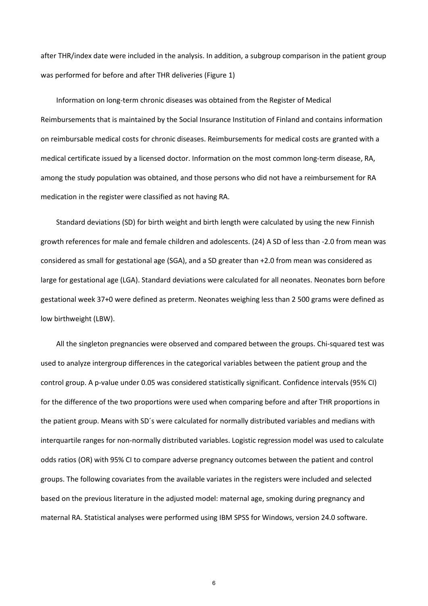after THR/index date were included in the analysis. In addition, a subgroup comparison in the patient group was performed for before and after THR deliveries (Figure 1)

Information on long-term chronic diseases was obtained from the Register of Medical Reimbursements that is maintained by the Social Insurance Institution of Finland and contains information on reimbursable medical costs for chronic diseases. Reimbursements for medical costs are granted with a medical certificate issued by a licensed doctor. Information on the most common long-term disease, RA, among the study population was obtained, and those persons who did not have a reimbursement for RA medication in the register were classified as not having RA.

Standard deviations (SD) for birth weight and birth length were calculated by using the new Finnish growth references for male and female children and adolescents. (24) A SD of less than -2.0 from mean was considered as small for gestational age (SGA), and a SD greater than +2.0 from mean was considered as large for gestational age (LGA). Standard deviations were calculated for all neonates. Neonates born before gestational week 37+0 were defined as preterm. Neonates weighing less than 2 500 grams were defined as low birthweight (LBW).

All the singleton pregnancies were observed and compared between the groups. Chi-squared test was used to analyze intergroup differences in the categorical variables between the patient group and the control group. A p-value under 0.05 was considered statistically significant. Confidence intervals (95% CI) for the difference of the two proportions were used when comparing before and after THR proportions in the patient group. Means with SD´s were calculated for normally distributed variables and medians with interquartile ranges for non-normally distributed variables. Logistic regression model was used to calculate odds ratios (OR) with 95% CI to compare adverse pregnancy outcomes between the patient and control groups. The following covariates from the available variates in the registers were included and selected based on the previous literature in the adjusted model: maternal age, smoking during pregnancy and maternal RA. Statistical analyses were performed using IBM SPSS for Windows, version 24.0 software.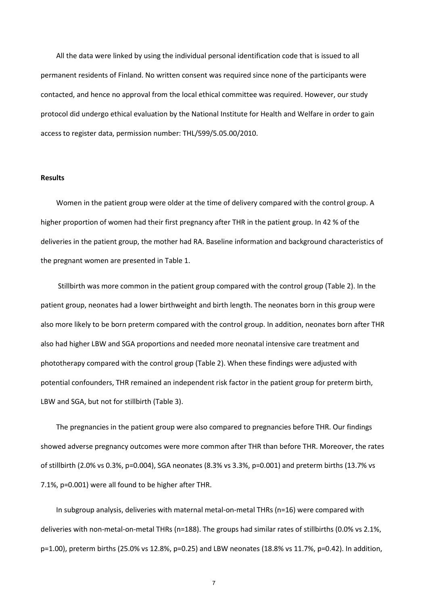All the data were linked by using the individual personal identification code that is issued to all permanent residents of Finland. No written consent was required since none of the participants were contacted, and hence no approval from the local ethical committee was required. However, our study protocol did undergo ethical evaluation by the National Institute for Health and Welfare in order to gain access to register data, permission number: THL/599/5.05.00/2010.

## **Results**

Women in the patient group were older at the time of delivery compared with the control group. A higher proportion of women had their first pregnancy after THR in the patient group. In 42 % of the deliveries in the patient group, the mother had RA. Baseline information and background characteristics of the pregnant women are presented in Table 1.

Stillbirth was more common in the patient group compared with the control group (Table 2). In the patient group, neonates had a lower birthweight and birth length. The neonates born in this group were also more likely to be born preterm compared with the control group. In addition, neonates born after THR also had higher LBW and SGA proportions and needed more neonatal intensive care treatment and phototherapy compared with the control group (Table 2). When these findings were adjusted with potential confounders, THR remained an independent risk factor in the patient group for preterm birth, LBW and SGA, but not for stillbirth (Table 3).

The pregnancies in the patient group were also compared to pregnancies before THR. Our findings showed adverse pregnancy outcomes were more common after THR than before THR. Moreover, the rates of stillbirth (2.0% vs 0.3%, p=0.004), SGA neonates (8.3% vs 3.3%, p=0.001) and preterm births (13.7% vs 7.1%, p=0.001) were all found to be higher after THR.

In subgroup analysis, deliveries with maternal metal-on-metal THRs (n=16) were compared with deliveries with non-metal-on-metal THRs (n=188). The groups had similar rates of stillbirths (0.0% vs 2.1%, p=1.00), preterm births (25.0% vs 12.8%, p=0.25) and LBW neonates (18.8% vs 11.7%, p=0.42). In addition,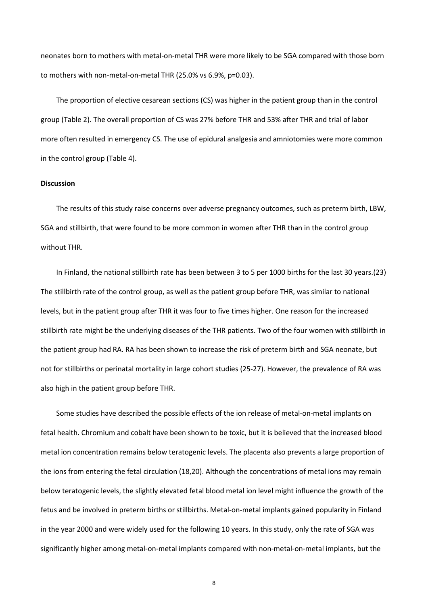neonates born to mothers with metal-on-metal THR were more likely to be SGA compared with those born to mothers with non-metal-on-metal THR (25.0% vs 6.9%, p=0.03).

The proportion of elective cesarean sections (CS) was higher in the patient group than in the control group (Table 2). The overall proportion of CS was 27% before THR and 53% after THR and trial of labor more often resulted in emergency CS. The use of epidural analgesia and amniotomies were more common in the control group (Table 4).

#### **Discussion**

The results of this study raise concerns over adverse pregnancy outcomes, such as preterm birth, LBW, SGA and stillbirth, that were found to be more common in women after THR than in the control group without THR.

In Finland, the national stillbirth rate has been between 3 to 5 per 1000 births for the last 30 years.(23) The stillbirth rate of the control group, as well as the patient group before THR, was similar to national levels, but in the patient group after THR it was four to five times higher. One reason for the increased stillbirth rate might be the underlying diseases of the THR patients. Two of the four women with stillbirth in the patient group had RA. RA has been shown to increase the risk of preterm birth and SGA neonate, but not for stillbirths or perinatal mortality in large cohort studies (25-27). However, the prevalence of RA was also high in the patient group before THR.

Some studies have described the possible effects of the ion release of metal-on-metal implants on fetal health. Chromium and cobalt have been shown to be toxic, but it is believed that the increased blood metal ion concentration remains below teratogenic levels. The placenta also prevents a large proportion of the ions from entering the fetal circulation (18,20). Although the concentrations of metal ions may remain below teratogenic levels, the slightly elevated fetal blood metal ion level might influence the growth of the fetus and be involved in preterm births or stillbirths. Metal-on-metal implants gained popularity in Finland in the year 2000 and were widely used for the following 10 years. In this study, only the rate of SGA was significantly higher among metal-on-metal implants compared with non-metal-on-metal implants, but the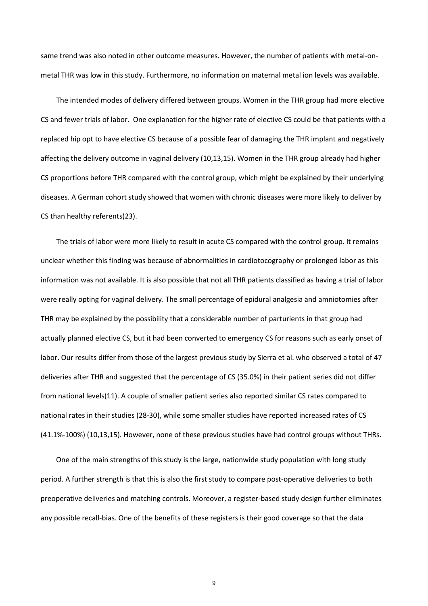same trend was also noted in other outcome measures. However, the number of patients with metal-onmetal THR was low in this study. Furthermore, no information on maternal metal ion levels was available.

The intended modes of delivery differed between groups. Women in the THR group had more elective CS and fewer trials of labor. One explanation for the higher rate of elective CS could be that patients with a replaced hip opt to have elective CS because of a possible fear of damaging the THR implant and negatively affecting the delivery outcome in vaginal delivery (10,13,15). Women in the THR group already had higher CS proportions before THR compared with the control group, which might be explained by their underlying diseases. A German cohort study showed that women with chronic diseases were more likely to deliver by CS than healthy referents(23).

The trials of labor were more likely to result in acute CS compared with the control group. It remains unclear whether this finding was because of abnormalities in cardiotocography or prolonged labor as this information was not available. It is also possible that not all THR patients classified as having a trial of labor were really opting for vaginal delivery. The small percentage of epidural analgesia and amniotomies after THR may be explained by the possibility that a considerable number of parturients in that group had actually planned elective CS, but it had been converted to emergency CS for reasons such as early onset of labor. Our results differ from those of the largest previous study by Sierra et al. who observed a total of 47 deliveries after THR and suggested that the percentage of CS (35.0%) in their patient series did not differ from national levels(11). A couple of smaller patient series also reported similar CS rates compared to national rates in their studies (28-30), while some smaller studies have reported increased rates of CS (41.1%-100%) (10,13,15). However, none of these previous studies have had control groups without THRs.

One of the main strengths of this study is the large, nationwide study population with long study period. A further strength is that this is also the first study to compare post-operative deliveries to both preoperative deliveries and matching controls. Moreover, a register-based study design further eliminates any possible recall-bias. One of the benefits of these registers is their good coverage so that the data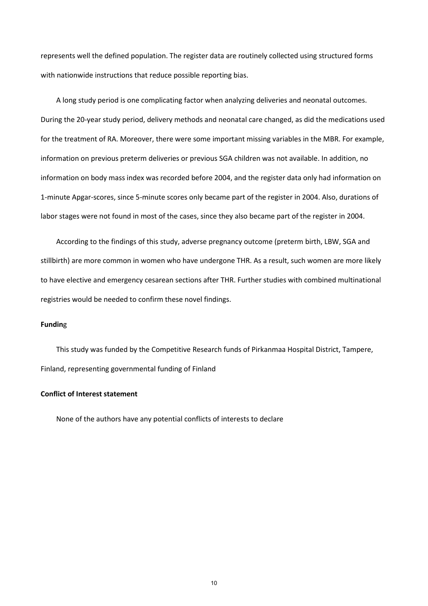represents well the defined population. The register data are routinely collected using structured forms with nationwide instructions that reduce possible reporting bias.

A long study period is one complicating factor when analyzing deliveries and neonatal outcomes. During the 20-year study period, delivery methods and neonatal care changed, as did the medications used for the treatment of RA. Moreover, there were some important missing variables in the MBR. For example, information on previous preterm deliveries or previous SGA children was not available. In addition, no information on body mass index was recorded before 2004, and the register data only had information on 1-minute Apgar-scores, since 5-minute scores only became part of the register in 2004. Also, durations of labor stages were not found in most of the cases, since they also became part of the register in 2004.

According to the findings of this study, adverse pregnancy outcome (preterm birth, LBW, SGA and stillbirth) are more common in women who have undergone THR. As a result, such women are more likely to have elective and emergency cesarean sections after THR. Further studies with combined multinational registries would be needed to confirm these novel findings.

#### **Fundin**g

This study was funded by the Competitive Research funds of Pirkanmaa Hospital District, Tampere, Finland, representing governmental funding of Finland

## **Conflict of Interest statement**

None of the authors have any potential conflicts of interests to declare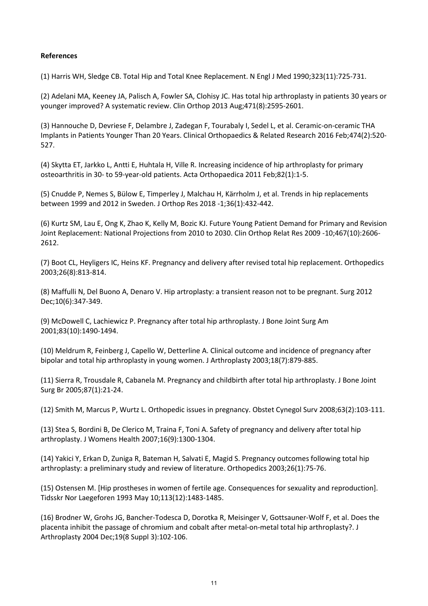## **References**

(1) Harris WH, Sledge CB. Total Hip and Total Knee Replacement. N Engl J Med 1990;323(11):725-731.

(2) Adelani MA, Keeney JA, Palisch A, Fowler SA, Clohisy JC. Has total hip arthroplasty in patients 30 years or younger improved? A systematic review. Clin Orthop 2013 Aug;471(8):2595-2601.

(3) Hannouche D, Devriese F, Delambre J, Zadegan F, Tourabaly I, Sedel L, et al. Ceramic-on-ceramic THA Implants in Patients Younger Than 20 Years. Clinical Orthopaedics & Related Research 2016 Feb;474(2):520- 527.

(4) Skytta ET, Jarkko L, Antti E, Huhtala H, Ville R. Increasing incidence of hip arthroplasty for primary osteoarthritis in 30- to 59-year-old patients. Acta Orthopaedica 2011 Feb;82(1):1-5.

(5) Cnudde P, Nemes S, Bülow E, Timperley J, Malchau H, Kärrholm J, et al. Trends in hip replacements between 1999 and 2012 in Sweden. J Orthop Res 2018 -1;36(1):432-442.

(6) Kurtz SM, Lau E, Ong K, Zhao K, Kelly M, Bozic KJ. Future Young Patient Demand for Primary and Revision Joint Replacement: National Projections from 2010 to 2030. Clin Orthop Relat Res 2009 -10;467(10):2606- 2612.

(7) Boot CL, Heyligers IC, Heins KF. Pregnancy and delivery after revised total hip replacement. Orthopedics 2003;26(8):813-814.

(8) Maffulli N, Del Buono A, Denaro V. Hip artroplasty: a transient reason not to be pregnant. Surg 2012 Dec;10(6):347-349.

(9) McDowell C, Lachiewicz P. Pregnancy after total hip arthroplasty. J Bone Joint Surg Am 2001;83(10):1490-1494.

(10) Meldrum R, Feinberg J, Capello W, Detterline A. Clinical outcome and incidence of pregnancy after bipolar and total hip arthroplasty in young women. J Arthroplasty 2003;18(7):879-885.

(11) Sierra R, Trousdale R, Cabanela M. Pregnancy and childbirth after total hip arthroplasty. J Bone Joint Surg Br 2005;87(1):21-24.

(12) Smith M, Marcus P, Wurtz L. Orthopedic issues in pregnancy. Obstet Cynegol Surv 2008;63(2):103-111.

(13) Stea S, Bordini B, De Clerico M, Traina F, Toni A. Safety of pregnancy and delivery after total hip arthroplasty. J Womens Health 2007;16(9):1300-1304.

(14) Yakici Y, Erkan D, Zuniga R, Bateman H, Salvati E, Magid S. Pregnancy outcomes following total hip arthroplasty: a preliminary study and review of literature. Orthopedics 2003;26(1):75-76.

(15) Ostensen M. [Hip prostheses in women of fertile age. Consequences for sexuality and reproduction]. Tidsskr Nor Laegeforen 1993 May 10;113(12):1483-1485.

(16) Brodner W, Grohs JG, Bancher-Todesca D, Dorotka R, Meisinger V, Gottsauner-Wolf F, et al. Does the placenta inhibit the passage of chromium and cobalt after metal-on-metal total hip arthroplasty?. J Arthroplasty 2004 Dec;19(8 Suppl 3):102-106.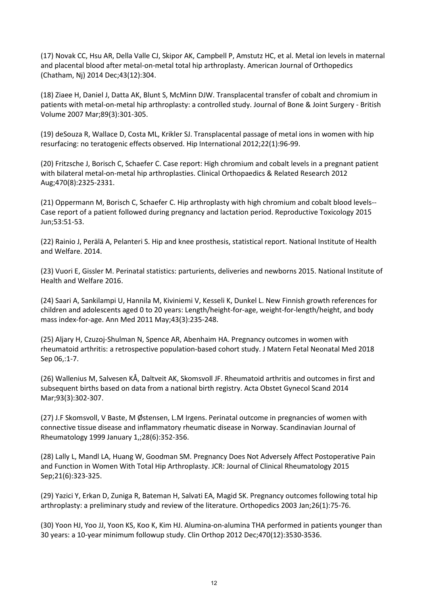(17) Novak CC, Hsu AR, Della Valle CJ, Skipor AK, Campbell P, Amstutz HC, et al. Metal ion levels in maternal and placental blood after metal-on-metal total hip arthroplasty. American Journal of Orthopedics (Chatham, Nj) 2014 Dec;43(12):304.

(18) Ziaee H, Daniel J, Datta AK, Blunt S, McMinn DJW. Transplacental transfer of cobalt and chromium in patients with metal-on-metal hip arthroplasty: a controlled study. Journal of Bone & Joint Surgery - British Volume 2007 Mar;89(3):301-305.

(19) deSouza R, Wallace D, Costa ML, Krikler SJ. Transplacental passage of metal ions in women with hip resurfacing: no teratogenic effects observed. Hip International 2012;22(1):96-99.

(20) Fritzsche J, Borisch C, Schaefer C. Case report: High chromium and cobalt levels in a pregnant patient with bilateral metal-on-metal hip arthroplasties. Clinical Orthopaedics & Related Research 2012 Aug;470(8):2325-2331.

(21) Oppermann M, Borisch C, Schaefer C. Hip arthroplasty with high chromium and cobalt blood levels-- Case report of a patient followed during pregnancy and lactation period. Reproductive Toxicology 2015 Jun;53:51-53.

(22) Rainio J, Perälä A, Pelanteri S. Hip and knee prosthesis, statistical report. National Institute of Health and Welfare. 2014.

(23) Vuori E, Gissler M. Perinatal statistics: parturients, deliveries and newborns 2015. National Institute of Health and Welfare 2016.

(24) Saari A, Sankilampi U, Hannila M, Kiviniemi V, Kesseli K, Dunkel L. New Finnish growth references for children and adolescents aged 0 to 20 years: Length/height-for-age, weight-for-length/height, and body mass index-for-age. Ann Med 2011 May;43(3):235-248.

(25) Aljary H, Czuzoj-Shulman N, Spence AR, Abenhaim HA. Pregnancy outcomes in women with rheumatoid arthritis: a retrospective population-based cohort study. J Matern Fetal Neonatal Med 2018 Sep 06,:1-7.

(26) Wallenius M, Salvesen KÅ, Daltveit AK, Skomsvoll JF. Rheumatoid arthritis and outcomes in first and subsequent births based on data from a national birth registry. Acta Obstet Gynecol Scand 2014 Mar;93(3):302-307.

(27) J.F Skomsvoll, V Baste, M Østensen, L.M Irgens. Perinatal outcome in pregnancies of women with connective tissue disease and inflammatory rheumatic disease in Norway. Scandinavian Journal of Rheumatology 1999 January 1,;28(6):352-356.

(28) Lally L, Mandl LA, Huang W, Goodman SM. Pregnancy Does Not Adversely Affect Postoperative Pain and Function in Women With Total Hip Arthroplasty. JCR: Journal of Clinical Rheumatology 2015 Sep;21(6):323-325.

(29) Yazici Y, Erkan D, Zuniga R, Bateman H, Salvati EA, Magid SK. Pregnancy outcomes following total hip arthroplasty: a preliminary study and review of the literature. Orthopedics 2003 Jan;26(1):75-76.

(30) Yoon HJ, Yoo JJ, Yoon KS, Koo K, Kim HJ. Alumina-on-alumina THA performed in patients younger than 30 years: a 10-year minimum followup study. Clin Orthop 2012 Dec;470(12):3530-3536.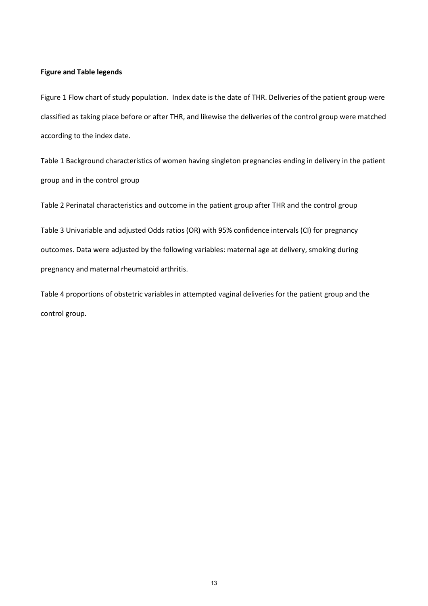## **Figure and Table legends**

Figure 1 Flow chart of study population. Index date is the date of THR. Deliveries of the patient group were classified as taking place before or after THR, and likewise the deliveries of the control group were matched according to the index date.

Table 1 Background characteristics of women having singleton pregnancies ending in delivery in the patient group and in the control group

Table 2 Perinatal characteristics and outcome in the patient group after THR and the control group

Table 3 Univariable and adjusted Odds ratios (OR) with 95% confidence intervals (CI) for pregnancy outcomes. Data were adjusted by the following variables: maternal age at delivery, smoking during pregnancy and maternal rheumatoid arthritis.

Table 4 proportions of obstetric variables in attempted vaginal deliveries for the patient group and the control group.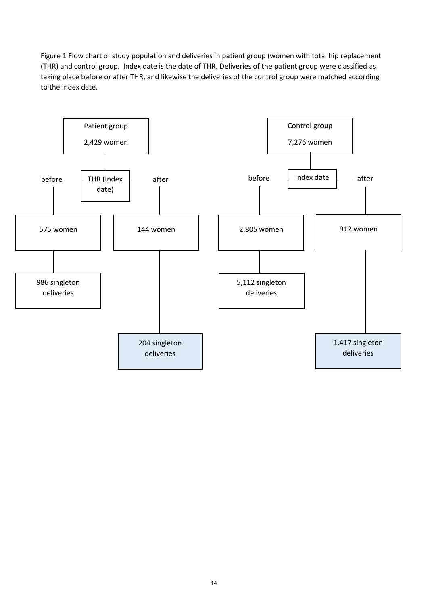Figure 1 Flow chart of study population and deliveries in patient group (women with total hip replacement (THR) and control group. Index date is the date of THR. Deliveries of the patient group were classified as taking place before or after THR, and likewise the deliveries of the control group were matched according to the index date.

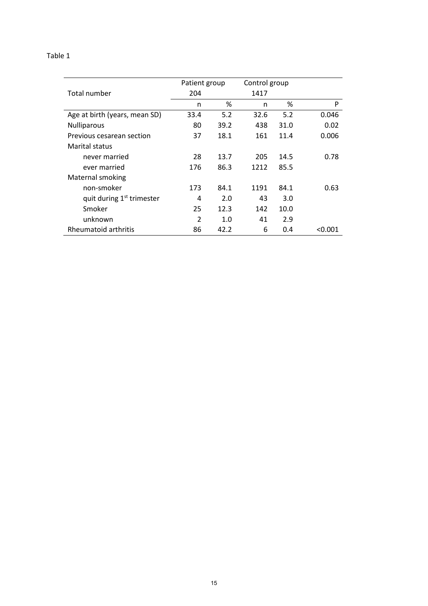# Table 1

|                                       | Patient group |      | Control group |      |         |
|---------------------------------------|---------------|------|---------------|------|---------|
| Total number                          | 204           |      | 1417          |      |         |
|                                       | n             | %    | n             | %    | P       |
| Age at birth (years, mean SD)         | 33.4          | 5.2  | 32.6          | 5.2  | 0.046   |
| Nulliparous                           | 80            | 39.2 | 438           | 31.0 | 0.02    |
| Previous cesarean section             | 37            | 18.1 | 161           | 11.4 | 0.006   |
| <b>Marital status</b>                 |               |      |               |      |         |
| never married                         | 28            | 13.7 | 205           | 14.5 | 0.78    |
| ever married                          | 176           | 86.3 | 1212          | 85.5 |         |
| Maternal smoking                      |               |      |               |      |         |
| non-smoker                            | 173           | 84.1 | 1191          | 84.1 | 0.63    |
| quit during 1 <sup>st</sup> trimester | 4             | 2.0  | 43            | 3.0  |         |
| Smoker                                | 25            | 12.3 | 142           | 10.0 |         |
| unknown                               | 2             | 1.0  | 41            | 2.9  |         |
| Rheumatoid arthritis                  | 86            | 42.2 | 6             | 0.4  | < 0.001 |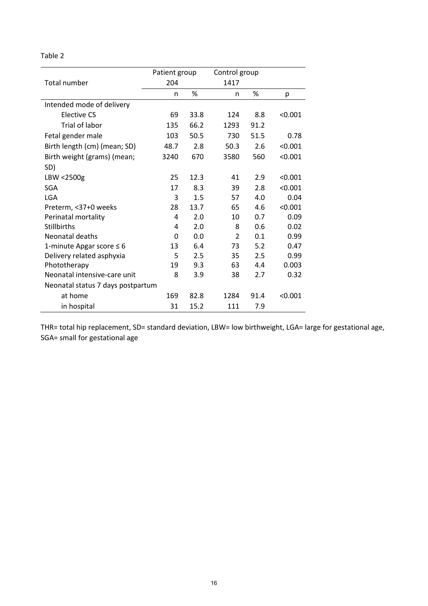# Table 2

|                                   | Patient group |      | Control group  |      |         |
|-----------------------------------|---------------|------|----------------|------|---------|
| Total number                      | 204           |      | 1417           |      |         |
|                                   | n             | %    | n              | %    | p       |
| Intended mode of delivery         |               |      |                |      |         |
| <b>Elective CS</b>                | 69            | 33.8 | 124            | 8.8  | < 0.001 |
| Trial of labor                    | 135           | 66.2 | 1293           | 91.2 |         |
| Fetal gender male                 | 103           | 50.5 | 730            | 51.5 | 0.78    |
| Birth length (cm) (mean; SD)      | 48.7          | 2.8  | 50.3           | 2.6  | < 0.001 |
| Birth weight (grams) (mean;       | 3240          | 670  | 3580           | 560  | < 0.001 |
| SD)                               |               |      |                |      |         |
| LBW <2500g                        | 25            | 12.3 | 41             | 2.9  | < 0.001 |
| <b>SGA</b>                        | 17            | 8.3  | 39             | 2.8  | < 0.001 |
| <b>LGA</b>                        | 3             | 1.5  | 57             | 4.0  | 0.04    |
| Preterm, <37+0 weeks              | 28            | 13.7 | 65             | 4.6  | < 0.001 |
| Perinatal mortality               | 4             | 2.0  | 10             | 0.7  | 0.09    |
| <b>Stillbirths</b>                | 4             | 2.0  | 8              | 0.6  | 0.02    |
| Neonatal deaths                   | $\Omega$      | 0.0  | $\overline{2}$ | 0.1  | 0.99    |
| 1-minute Apgar score $\leq 6$     | 13            | 6.4  | 73             | 5.2  | 0.47    |
| Delivery related asphyxia         | 5             | 2.5  | 35             | 2.5  | 0.99    |
| Phototherapy                      | 19            | 9.3  | 63             | 4.4  | 0.003   |
| Neonatal intensive-care unit      | 8             | 3.9  | 38             | 2.7  | 0.32    |
| Neonatal status 7 days postpartum |               |      |                |      |         |
| at home                           | 169           | 82.8 | 1284           | 91.4 | < 0.001 |
| in hospital                       | 31            | 15.2 | 111            | 7.9  |         |

THR= total hip replacement, SD= standard deviation, LBW= low birthweight, LGA= large for gestational age, SGA= small for gestational age